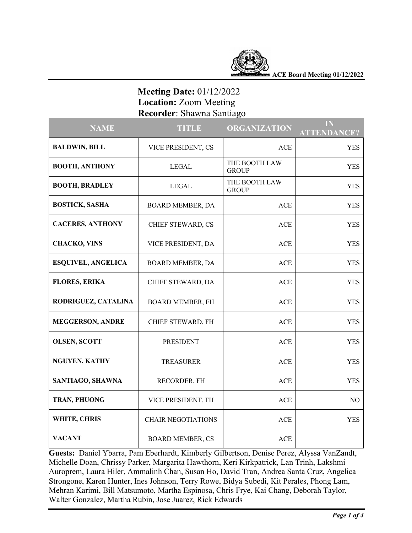

**ACE Board Meeting 01/12/2022**

# **Meeting Date:** 01/12/2022  **Location:** Zoom Meeting  **Recorder**: Shawna Santiago

| <b>NAME</b>               | <b>TITLE</b>              | <b>ORGANIZATION</b>           | IN<br><b>ATTENDANCE?</b> |
|---------------------------|---------------------------|-------------------------------|--------------------------|
| <b>BALDWIN, BILL</b>      | VICE PRESIDENT, CS        | <b>ACE</b>                    | <b>YES</b>               |
| <b>BOOTH, ANTHONY</b>     | <b>LEGAL</b>              | THE BOOTH LAW<br><b>GROUP</b> | <b>YES</b>               |
| <b>BOOTH, BRADLEY</b>     | <b>LEGAL</b>              | THE BOOTH LAW<br><b>GROUP</b> | <b>YES</b>               |
| <b>BOSTICK, SASHA</b>     | BOARD MEMBER, DA          | <b>ACE</b>                    | <b>YES</b>               |
| <b>CACERES, ANTHONY</b>   | CHIEF STEWARD, CS         | <b>ACE</b>                    | <b>YES</b>               |
| <b>CHACKO, VINS</b>       | VICE PRESIDENT, DA        | <b>ACE</b>                    | <b>YES</b>               |
| <b>ESQUIVEL, ANGELICA</b> | BOARD MEMBER, DA          | <b>ACE</b>                    | YES                      |
| <b>FLORES, ERIKA</b>      | CHIEF STEWARD, DA         | <b>ACE</b>                    | <b>YES</b>               |
| RODRIGUEZ, CATALINA       | <b>BOARD MEMBER, FH</b>   | <b>ACE</b>                    | <b>YES</b>               |
| <b>MEGGERSON, ANDRE</b>   | CHIEF STEWARD, FH         | <b>ACE</b>                    | <b>YES</b>               |
| <b>OLSEN, SCOTT</b>       | <b>PRESIDENT</b>          | <b>ACE</b>                    | <b>YES</b>               |
| <b>NGUYEN, KATHY</b>      | <b>TREASURER</b>          | <b>ACE</b>                    | <b>YES</b>               |
| SANTIAGO, SHAWNA          | RECORDER, FH              | <b>ACE</b>                    | <b>YES</b>               |
| TRAN, PHUONG              | VICE PRESIDENT, FH        | <b>ACE</b>                    | NO                       |
| WHITE, CHRIS              | <b>CHAIR NEGOTIATIONS</b> | <b>ACE</b>                    | <b>YES</b>               |
| <b>VACANT</b>             | <b>BOARD MEMBER, CS</b>   | <b>ACE</b>                    |                          |

**Guests:** Daniel Ybarra, Pam Eberhardt, Kimberly Gilbertson, Denise Perez, Alyssa VanZandt, Michelle Doan, Chrissy Parker, Margarita Hawthorn, Keri Kirkpatrick, Lan Trinh, Lakshmi Auroprem, Laura Hiler, Ammalinh Chan, Susan Ho, David Tran, Andrea Santa Cruz, Angelica Strongone, Karen Hunter, Ines Johnson, Terry Rowe, Bidya Subedi, Kit Perales, Phong Lam, Mehran Karimi, Bill Matsumoto, Martha Espinosa, Chris Frye, Kai Chang, Deborah Taylor, Walter Gonzalez, Martha Rubin, Jose Juarez, Rick Edwards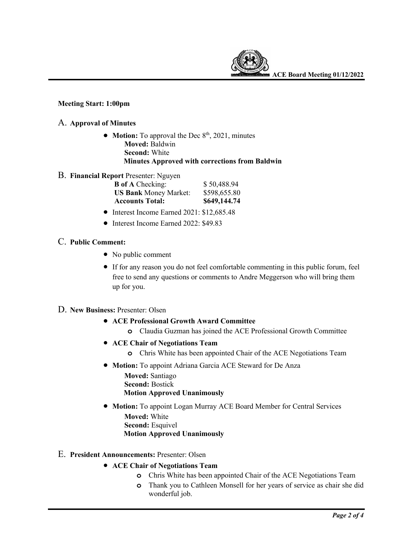

## **Meeting Start: 1:00pm**

#### A. **Approval of Minutes**

- **Motion:** To approval the Dec  $8<sup>th</sup>$ , 2021, minutes  **Moved:** Baldwin  **Second:** White  **Minutes Approved with corrections from Baldwin**
- B. **Financial Report** Presenter: Nguyen

| <b>B</b> of A Checking:      | \$50,488.94  |
|------------------------------|--------------|
| <b>US Bank</b> Money Market: | \$598,655.80 |
| <b>Accounts Total:</b>       | \$649,144.74 |

- Interest Income Earned 2021: \$12,685.48
- Interest Income Earned 2022: \$49.83

# C. **Public Comment:**

- No public comment
- If for any reason you do not feel comfortable commenting in this public forum, feel free to send any questions or comments to Andre Meggerson who will bring them up for you.
- D. **New Business:** Presenter: Olsen
	- **ACE Professional Growth Award Committee**
		- **o** Claudia Guzman has joined the ACE Professional Growth Committee
	- **ACE Chair of Negotiations Team**
		- **o** Chris White has been appointed Chair of the ACE Negotiations Team
		- **Motion:** To appoint Adriana Garcia ACE Steward for De Anza

 **Moved:** Santiago  **Second:** Bostick  **Motion Approved Unanimously**

- **Motion:** To appoint Logan Murray ACE Board Member for Central Services  **Moved:** White  **Second:** Esquivel  **Motion Approved Unanimously**
- E. **President Announcements:** Presenter: Olsen
	- **ACE Chair of Negotiations Team**
		- **o** Chris White has been appointed Chair of the ACE Negotiations Team
		- **o** Thank you to Cathleen Monsell for her years of service as chair she did wonderful job.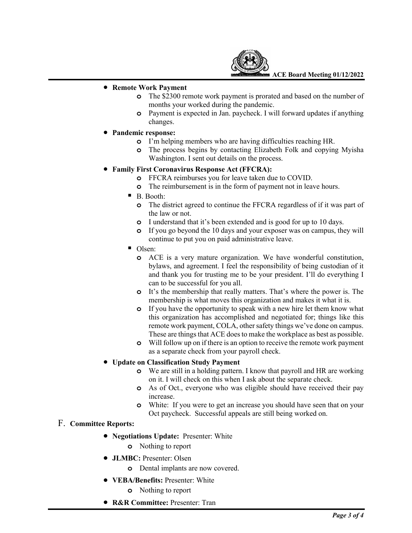

**ACE Board Meeting 01/12/2022**

#### • **Remote Work Payment**

- **o** The \$2300 remote work payment is prorated and based on the number of months your worked during the pandemic.
- **o** Payment is expected in Jan. paycheck. I will forward updates if anything changes.
- **Pandemic response:**
	- **o** I'm helping members who are having difficulties reaching HR.
	- **o** The process begins by contacting Elizabeth Folk and copying Myisha Washington. I sent out details on the process.

### • **Family First Coronavirus Response Act (FFCRA):**

- **o** FFCRA reimburses you for leave taken due to COVID.
- **o** The reimbursement is in the form of payment not in leave hours.
- B. Booth:
	- **o** The district agreed to continue the FFCRA regardless of if it was part of the law or not.
	- **o** I understand that it's been extended and is good for up to 10 days.
	- **o** If you go beyond the 10 days and your exposer was on campus, they will continue to put you on paid administrative leave.
- Olsen:
	- **o** ACE is a very mature organization. We have wonderful constitution, bylaws, and agreement. I feel the responsibility of being custodian of it and thank you for trusting me to be your president. I'll do everything I can to be successful for you all.
	- **o** It's the membership that really matters. That's where the power is. The membership is what moves this organization and makes it what it is.
	- **o** If you have the opportunity to speak with a new hire let them know what this organization has accomplished and negotiated for; things like this remote work payment, COLA, other safety things we've done on campus. These are things that ACE does to make the workplace as best as possible.
	- **o** Will follow up on if there is an option to receive the remote work payment as a separate check from your payroll check.

#### • **Update on Classification Study Payment**

- **o** We are still in a holding pattern. I know that payroll and HR are working on it. I will check on this when I ask about the separate check.
- **o** As of Oct., everyone who was eligible should have received their pay increase.
- **o** White: If you were to get an increase you should have seen that on your Oct paycheck. Successful appeals are still being worked on.

# F. **Committee Reports:**

- **Negotiations Update:** Presenter: White
	- **o** Nothing to report
- **JLMBC:** Presenter: Olsen
	- **o** Dental implants are now covered.
- **VEBA/Benefits:** Presenter: White
	- **o** Nothing to report
- **R&R Committee:** Presenter: Tran